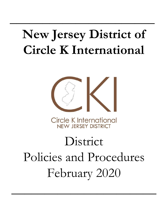# **New Jersey District of Circle K International**

**\_\_\_\_\_\_\_\_\_\_\_\_\_\_\_\_\_\_\_\_\_\_**



**Circle K International** NEW JERSEY DISTRICT

# District Policies and Procedures February 2020

**\_\_\_\_\_\_\_\_\_\_\_\_\_\_\_\_\_\_\_\_\_\_**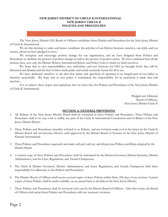# **NEW JERSEY DISTRICT OF CIRCLE K INTERNATIONAL NEW JERSEY CIRCLE K POLICIES AND PROCEDURES**

The New Jersey District CKI Board of Officers establishes these Policies and Procedures for the New Jersey District of Circle K International.

We do this desiring to order and better coordinate the activities of our District between ourselves, our clubs, and our society, whom we have pledged to serve.

We recognize and encourage positive change for our organization, and we have designed these Policies and Procedures to facilitate the process of positive change as well as the process of positive action. We have combined here all the intrinsic laws, save only the District Bylaws, International Bylaws and Policy Code to which we bind ourselves.

We hope that as new responsibilities, new authorities, and new horizons for CKI are brought forth, they will be discussed and debated and the best of these made policy and stated succinctly herein for all to see.

We have dedicated ourselves to the idea that clarity and specificity of operation is an integral part of our ability to function successfully. We hope that as new policy is formulated, the responsibility for its enactment is made clear and absolute.

It is to achieve these hopes and aspirations that we form this, the Policies and Procedures of the New Jersey District of Circle K International.

> Pledged and Affirmed, Board of Officers, New Jersey District Circle K

#### **SECTION A: GENERAL PROVISIONS**

- 1. All Policies of the New Jersey District Board shall be contained in these Policies and Procedures. These Policies and Procedures shall in no way void or nullify any part of the Circle K International Constitution and/or Bylaws or the New Jersey District Bylaws.
- 2. These Policies and Procedures, hereafter referred to as Policies, and any revisions made to it in the future by the Circle K District Board will not become effective until approved by the District Board of Trustees of the New Jersey District of Kiwanis International.
- 3. These Policies and Procedures supersede and make null and void any and all previous Policies and Rules adopted by the District Board.
- 4. A current copy of these Policies and Procedures shall be maintained by the District Governor, District Secretary, District Administrator, and the Laws, Regulations, and Awards Chairperson.
- 5. The Circle K District Governor, District Administrator, and Laws, Regulations, and Awards Chairperson shall share responsibility for adherence to the Policies and Procedures.
- 6. The District Board of Officers shall receive revised copies of these Policies within thirty (30) days of any revision. Current copies of these Policies shall be made available, on an annual basis to all clubs in the New Jersey District.
- 7. These Policies and Procedures shall be reviewed each year by the District Board of Officers. After this review, the Board of Officers shall adopt these Policies and Procedures with any necessary revisions.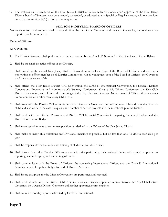8. The Policies and Procedures of the New Jersey District of Circle K International, upon approval of the New Jersey Kiwanis board of Trustees, may be amended, suspended, or adopted at any Special or Regular meeting without previous notice by a two-thirds (2/3) majority vote or quorum.

# **SECTION B: DISTRICT BOARD OF OFFICERS**

No vouchers for reimbursement shall be signed off on by the District Treasurer and Financial Counselor, unless all monthly reports have been turned in.

Duties of Officers:

#### A) **GOVERNOR**

- 1. The District Governor shall perform those duties as prescribed in Article V, Section 3 of the New Jersey District Bylaws.
- 2. Shall be the chief executive officer of the District.
- 3. Shall preside at the annual New Jersey District Convention and all meetings of the Board of Officers, and serve as a non-voting ex-officio member on all District Committees. On all voting questions of the Board of Officers, the Governor shall only vote in case of tie.
- 4. Shall attend the New Jersey District CKI Convention, the Circle K International Convention, the Kiwanis District Convention, Governor's and Administrator's Training Conference, Kiwanis Mid-Winter Conference, the Key Club District Convention, and all duly called meetings of the Key Club and Kiwanis District Board of Officers if these events do not conflict with other mandatory CKI events.
- 5. Shall work with the District CKI Administrator and Lieutenant Governors on building new clubs and rebuilding inactive clubs and also work to increase the quality and number of service projects and the membership in the District.
- 6. Shall work with the District Treasurer and District CKI Financial Counselor in preparing the annual budget and the District Convention Budget.
- 7. Shall make appointments to committee positions, as defined in the Bylaws of the New Jersey District.
- 8. Shall make as many club visitations and Divisional meetings as possible, but no less than one (1) visit to each club per year.
- 9. Shall be responsible for the leadership training of all district and club officers.
- 10. Shall insure that other District Officers are satisfactorily performing their assigned duties with special emphasis on reporting, record keeping, and accounting of funds.
- 11. Shall communicate with the Board of Officers, the counseling International Officer, and the Circle K International Administrator to keep them fully informed of District Activities.
- 12. Shall insure that plans for the District Convention are performed and executed.
- 13. Shall work closely with the District CKI Administrator and his/her appointed representatives, the Key Club District Governor, the Kiwanis District Governor and his/her appointed representatives.
- 14. Shall submit a monthly report as directed by Circle K International.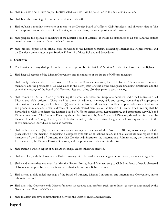- 15. Shall maintain a set of files on past District activities which will be passed on to the next administration.
- 16. Shall brief the incoming Governor on the duties of the office.
- 17. Shall publish a monthly newsletter or memo to the District Board of Officers, Club Presidents, and all others that he/she deems appropriate on the state of the District, important plans, and other pertinent information.
- 18. Shall prepare the agenda of meetings of the District Board of Officers. It should be distributed to all clubs and the district board, at least two weeks of the scheduled meeting.
- 19. Shall provide copies of all official correspondence to the District Secretary, counseling International Representative and the District Administrator as per **Section F, Item 1** of these Policies and Procedures.

#### B) **SECRETARY**

- 1. The District Secretary shall perform those duties as prescribed in Article V, Section 3 of the New Jersey District Bylaws.
- 2. Shall keep all records of the District Convention and the minutes of the Board of Officers' meetings.
- 3. Shall notify each member of the Board of Officers, the Kiwanis Governor, the CKI District Administrator, committee members, and the presidents of all CKI clubs in the New Jersey District of the time, place (including directions), and the date of all meetings of the Board of Officers not less than thirty (30) days prior to each meeting.
- 4. Shall compile a District Directory containing the names, addresses, and telephone numbers, and e-mail addresses of all District and club officers. There shall be three (3) editions, summer, fall, and spring, containing all appropriate information. In addition, shall within two (2) weeks of the first Board meeting compile a temporary directory of addresses and phone numbers, and e-mail addresses of the newly elected members of the Board of Officers. The Directory shall be forwarded to Club Presidents, the District Board of Officers, International Representative, and appropriate Key Club and Kiwanis members. The Summer Directory should be distributed by May 1, the Fall Directory should be distributed by October 1, and the Spring Directory should be distributed by February 1. Any changes in the Directory will be sent to the above mentioned individuals as soon as possible.
- 5. Shall within fourteen (14) days after any special or regular meeting of the Board of Officers, make a report of the proceedings of the meeting, comprising a complete synopsis of all actions taken, and shall distribute said report to the members of the Board of Officers, the CKI District Administrator, the International Administrator, the International Representative, the Kiwanis District Governor, and the presidents of the clubs in the district
- 6. Shall submit a written report at all Board meetings, unless otherwise directed.
- 7. Shall establish, with the Governor, a District mailing list to be used when sending out information, notices, and agendas.
- 8. Shall send appropriate materials (i.e. Monthly Report Forms, Board Minutes, etc.) to Club Presidents of newly chartered clubs as soon as possible after notification of charter from Circle K International.
- 9. Shall attend all duly called meetings of the Board of Officers, District Convention, and International Convention, unless otherwise excused.
- 10. Shall assist the Governor with District functions as required and perform such other duties as may be authorized by the Governor and Board of Officers.
- 11. Shall maintain effective communication between the District, clubs, and members.

Page 4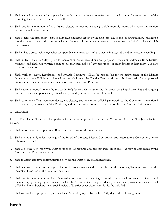- 12. Shall maintain accurate and complete files on District activities and transfer them to the incoming Secretary, and brief the incoming Secretary on the duties of the office.
- 13. Shall publish a minimum of five (5) newsletters or memos including a club monthly report tally, other information pertinent to Club Secretaries.
- 14. Shall receive the appropriate copy of each club's monthly report by the fifth (5th) day of the following month, shall keep a monthly report score card indicating whether the report is on time, not received, or delinquent, and shall advise each club on its status.
- 15. Shall utilize district technology whenever possible, minimize costs of all other activities, and avoid unnecessary spending.
- 16. Shall at least sixty (60) days prior to Convention solicit resolutions and proposed Bylaws amendments from District members and shall give written notice to all chartered clubs of any resolutions or amendments at least thirty (30) days prior to Convention.
- 17. Shall, with the Laws, Regulations, and Awards Committee Chair, be responsible for the maintenance of the District Bylaws and these Policies and Procedures and shall keep the District Board and the clubs informed of any approved Bylaws amendments and of amendments to these Policies and Procedures.
- 18. Shall submit a monthly report by the tenth  $(10<sup>th</sup>)$  day of each month to the Governor, detailing all incoming and outgoing correspondence and phone calls, official visits, monthly report and service hour tally.
- 19. Shall copy any official correspondence, newsletters, and any other official paperwork to the Governor, International Representative, International Vice President, and District Administrator as per **Section F**, **Item 1** of this Policy Code.

# C) **TREASURER**

1. The District Treasurer shall perform those duties as prescribed in Article V, Section 3 of the New Jersey District Bylaws.

- 2. Shall submit a written report at all Board meetings, unless otherwise directed.
- 3. Shall attend all duly called meetings of the Board of Officers, District Convention, and International Convention, unless otherwise excused.
- 4. Shall assist the Governor with District functions as required and perform such other duties as may be authorized by the Governor and Board of Officers.
- 5. Shall maintain effective communication between the District, clubs, and members.
- 6. Shall maintain accurate and complete files on District activities and transfer them to the incoming Treasurer, and brief the incoming Treasurer on the duties of the office.
- 7. Shall publish a minimum of five (5) newsletters or memos including financial matters, such as payment of dues and membership growth program status, to all Club Treasurers to strengthen dues payments and provide as a check of all official club memberships. A financial review of District expenditures should also be included.
- 8. Shall receive the appropriate copy of each club's monthly report by the fifth (5th) day of the following month.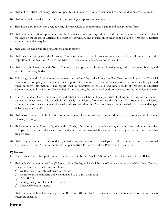- 9. Shall utilize district technology whenever possible, minimize costs of all other activities, and avoid unnecessary spending.
- 10. Shall serve as financial advisor of the District, keeping all appropriate records.
- 11. Shall issue a call for District dues, advising all clubs where to send payments and membership report forms.
- 12. Shall submit a written report reflecting the District income and expenditures and the dues status of member clubs at meetings of the Board of Officers, the District Convention, and at such other times as the Board of Officers or District Administrator shall require.
- 13. Shall develop and promote programs for dues incentive.
- 14. Shall maintain, along with the Financial Counselor, a copy of the District accounts and books, at all times open to the inspection of the Board of Officers, the District Administrator, and any authorized auditor.
- 15. Shall assist the Governor and District Administrator in preparing the annual District budget, the Convention budget, and any other necessary budgets.
- 16. Following the end of the administrative year, but before May 1, the Immediate Past Treasurer shall assist the Financial Counselor in compiling a complete financial report of the administrative year detailing income, expenditures, budgets, and other pertinent information. The report shall be submitted to the old and new Boards of Officers, the District Administrator, and the Kiwanis District Board. At this time, the books shall be deemed closed for the administrative year.
- 17. The District dues, Convention receipts, and other funds shall be kept in appropriate checking and savings accounts under the name "New Jersey District Circle K". Only the District Treasurer or the District Governor, and the District Administrator or Financial Counselor shall authorize withdrawals. The above named officials shall see to the updating of all bank signature cards;
- 18. Shall make copies of all checks prior to depositing and keep in order with deposit slips in preparation for end of the year internally auditing.
- 19. Shall submit a monthly report by the tenth  $(10<sup>th</sup>)$  day of each month to the Governor, including information on clubs that have paid dues, updated dues status for the district and International, budget updates, and any questions or concerns that are pertinent.
- 20. Shall copy any official correspondence, newsletters, and any other official paperwork to the Governor, International Representative, and District Administrator as per **Section F**, **Item 1** of these Policies and Procedures.

# **D) EDITOR**

- 1. The District Editor shall perform those duties as prescribed in Article V, Section 3 of the New Jersey District Bylaws.
- 2. Shall publish a minimum of five (5) issues of the *Cirkling*, which shall be the official newsletter of the New Jersey District, using the sample topic schedule as follows:
	- a) Getting Ready for International Convention
	- b) Membership Recruitment and Retention and INSIGHT Promotion
	- c) INSIGHT Recap
	- d) Getting Ready for District Convention
	- e) District Convention Issue
- 3. Shall attend all duly called meetings of the Board of Officers, District Convention, and International Convention, unless otherwise excused.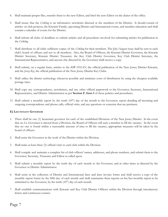- 4. Shall maintain proper files, transfer them to the new Editor, and brief the new Editor on the duties of the office.
- 5. Shall insure that the *Cirkling* is an informative newsletter directed at the members of the District. It should consist of articles on club projects, the Kiwanis-Family, upcoming District and International events, and member education and shall contain a calendar of events for the District.
- 6. Shall inform all clubs of deadlines to submit articles and all procedures involved for submitting articles for publication in the *Cirkling.*
- 7. Shall distribute to all clubs sufficient copies of the *Cirkling* for their members. The July/August issue shall be sent to each club's board of officers and not to all members. Also, the Board of Officers, the Kiwanis District Governor, the Kiwanis District Secretary, Kiwanis District Treasurer, the Key Club District Governor, Key Club District Secretary, the International Representative, and anyone else directed by the Governor shall receive a copy.
- 8. Shall submit, on a regular basis, articles to the *KIWANIAN*, the official publication of the New Jersey District Kiwanis, and the *Jersey Key*, the official publication of the New Jersey District Key Clubs.
- 9. Shall utilize the district technology whenever possible and minimize costs of distribution by using the cheapest available postage rates.
- 10. Shall copy any correspondence, newsletters, and any other official paperwork to the Governor, Secretary, International Representative, and District Administrator as per **Section F**, **Item 1** of these policies and procedures.
- 11. Shall submit a monthly report by the tenth  $(10<sup>th</sup>)$  day of the month to the Governor, report detailing all incoming and outgoing correspondence and phone calls, official visits, and any questions or concerns that are pertinent.

# **E) LIEUTENANT GOVERNOR**

- 1. There shall be one (1) lieutenant governor for each of the established Divisions of the New Jersey District. In the event that no Lt. Governor is elected from a Division, the Board of Officers will seek a member to fill the vacancy. In the event that no one is found within a reasonable amount of time to fill the vacancy, appropriate measures will be taken by the board of officers.
- 2. Shall assist the Governor in the work of the District within the Division.
- 3. Shall make at least three (3) official visits to each club within the Division.
- 4. Shall compile and maintain a complete list of club officers' names, addresses, and phone numbers, and submit them to the Governor, Secretary, Treasurer and Editor as called upon.
- 5. Shall submit a monthly report by the tenth day of each month to the Governor, and at other times as directed by the Governor or District Administrator.
- 6. Shall assist in the collection of District and International dues and dues invoice forms and shall receive a copy of the monthly report forms by the fifth day of each month and shall summarize these reports on his/her monthly report to be submitted to the Governor, by the tenth  $(10<sup>th</sup>)$  day of each month.
- 7. Shall establish communications with Kiwanis and Key Club District Officers within the Division through introductory letters and continuous contact.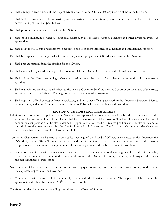- 8. Shall attempt to reactivate, with the help of Kiwanis and/or other CKI club(s), any inactive clubs in the Division.
- 9. Shall build as many new clubs as possible, with the assistance of Kiwanis and/or other CKI club(s), and shall maintain a current listing of new club possibilities.
- 10. Shall promote interclub meetings within the Division.
- 11. Shall hold a minimum of three (3) divisional events such as Presidents' Council Meetings and other divisional events as appropriate.
- 12. Shall assist the CKI club presidents when requested and keep them informed of all District and International functions.
- 13. Shall be responsible for the growth of membership, service, projects and CKI education within the Division.
- 14. Shall prepare material from the division for the *Cirkling*.
- 15. Shall attend all duly called meetings of the Board of Officers, District Convention, and International Convention.
- 16. Shall utilize the district technology whenever possible, minimize costs of all other activities, and avoid unnecessary spending.
- 17. Shall maintain proper files, transfer them to the new Lt. Governor, brief the new Lt. Governor on the duties of the office, and attend the District Officers' Training Conference of the new administration.
- 18. Shall copy any official correspondence, newsletters, and any other official paperwork to the Governor, Secretary, District Administrator, and Zone Administrator as per **Section F**, **Item 1** of these Policies and Procedures.

#### **SECTION C: THE DISTRICT COMMITTEES**

- Individuals and committees appointed by the Governor, and approved by a majority vote of the board of officers, to assist the administrative responsibilities of the District shall form the remainder of the Board of Trustees. The responsibilities of all committee chairpersons shall be clearly defined. Appointments to Board of Trustees positions shall expire at the end of the administrative year (except for the On-To-International Convention Chair) or at such times as the Governor determines that the responsibilities have been fulfilled.
- Committee Chairpersons shall attend any duly called meetings of the Board of Officers as requested by the Governor, the INSIGHT, Spring Officer Training Conference, and the District Convention, or submit a written report to their liaison for presentation. Committee Chairpersons are also encouraged to attend the International Convention.
- Applicants for committee chairperson appointments must be active members in good standing in a club of the District who, prior to appointment, have submitted written certification to the District Governor, which they will carry out the duties and responsibilities of such office.
- No Committee Chairpersons shall be authorized to mail any questionnaires, forms, reports, or manuals of any kind without the expressed approval of the Governor.
- All Committee Chairpersons shall file a monthly report with the District Governor. This report shall be sent to the appropriate individuals by the tenth  $(10<sup>th</sup>)$  day of each month.

The following shall be permanent standing committees of the Board of Trustees: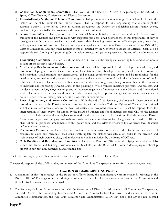- a) **Convention & Conferences Committee** Shall work with the Board of Officers in the planning of the INSIGHT, Spring Officer Training Conference, and District Convention.
- b) **Kiwanis-Family & Alumni Relations Committee** Shall promote interaction among Kiwanis Family clubs in the district on the club, divisional, and district levels. Shall be responsible for strengthening relations amongst the Kiwanis Family & New Jersey Circle K Alumni throughout the District by publicizing Kiwanis-Family events, implementing Kiwanis-Family programs and connecting with Alumni.
- c) **Service Committee** Shall promote the International Service Initiative, Tomorrow Fund, and District Project throughout the District and provide clubs with suggested projects. Shall promote the overall importance of service throughout the District and provide clubs with project ideas, including instruction on effective planning, promotion, and implementation of projects. Shall aid in the planning of service projects at District events, including INSIGHT, District Convention, and any other District events as directed by the Governor or Board of Officers. Shall also be responsible for planning and promoting District-wide projects and gathering results at the end of the administrative year.
- d) **Fundraising Committee-** Shall work with the Board of Officers in the raising and collecting funds and other monies to support the district's yearly budget.
- e) **Membership Development and Education Committee** Shall be responsible for the development, evaluation, and promotion of programs to assist clubs in the implementation of membership education, development, recruitment, and retention. Shall promote any International and regional conferences and events and be responsible for the development, evaluation, and promotion of programs and materials to assist clubs in the implementation of public relations techniques. Shall cooperate with all clubs in the district during their infancy to assist them in the education of members and sponsoring Kiwanis Clubs, in the planning of well-organized meetings, programs and projects, and the development of long range planning, and in the encouragement of involvement at the District and International level. Shall serve as a resource for all aspects of club operations, development, and growth, which are not adequately outlined or covered by training manuals, district officers, or committees.
- f) **Laws, Regulations, and Awards Committee -** With the aid of the Secretary, shall maintain these policies and procedures as well as the District Bylaws in conformity with the Policy Code and Bylaws of Circle K International and shall make recommendations to the Board of Officers for proposed amendments. It shall be responsible for the interpretation of these bylaws for action by the Board of Officers and for all matters affecting CKI on the District Level. It shall also review all club bylaws submitted for district approval, make revisions. Shall also maintain District Awards and appropriate judging materials and make any recommendations for changes to the Board of Officers. Shall submit all proposed amendments to this policy code and the District Bylaws to the Governor two (2) weeks before the board meeting.
- g) **Technology Committee –** Shall explore and implement new initiatives to ensure that the District web site is a useful resource to clubs and members, shall consistently update the district web site, assist clubs in the creation and maintenance of their own web sites, and implement any online initiatives by the Board of Officers.
- h) **Club Building and Revitalization Committee** Shall aid the Board of Officers in identifying potential new clubs within the district and building those new clubs. Shall also aid the Board of Officers in developing membership growth in any past due, suspended, and retained clubs.

The Governor may appoint other committees with the approval of the Circle K District Board.

The specific responsibilities of all standing committees of the Committee Chairpersons are set forth as service agreements.

# **SECTION D: BOARD MEETING POLICY**

- 1. A minimum of five (5) meetings of the Board of Officers during the administrative year are required. Meetings at the District Officers' Training Conference, during the summer, in the fall, at least one month prior to District Convention and at the District Convention are encouraged.
- 2. The Secretary shall notify, in consultation with the Governor, all District Board members, all Committee Chairpersons, the CKI Director, the Counseling International Officer, the Kiwanis District Executive Board members, the Kiwanis Committee Administrators, the Key Club Governor and Administrator, all District clubs, and anyone else deemed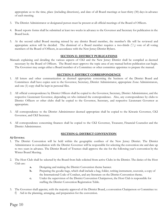appropriate as to the time, place (including directions), and date of all Board meetings at least thirty (30) days in advance of each meeting.

- 3. The District Administrator or designated person must be present at all official meetings of the Board of Officers.
- 4. Board reports forms shall be submitted at least two weeks in advance to the Governor and Secretary for publication in the Board book.
- 5. At the second called Board meeting missed by any district Board member, the member's file will be reviewed and appropriate action will be decided. The dismissal of a Board member requires a two-thirds  $(^2/3)$  vote of all voting members of the Board of Officers, in accordance with the New Jersey District Bylaws.

## **SECTION E: DISTRICT PUBLICATIONS**

Manuals explaining and detailing the various aspects of CKI and the New Jersey District shall be compiled as deemed necessary by the Board of Officers. The Board must approve the topic area of any manual before publication can begin. The Governor may assign either a Board member of a Committee or other committee appointee to prepare the manual.

#### **SECTION F: DISTRICT CORRESPONDENCE**

- 1. All letters and other communication as deemed appropriate concerning the business of the District Board and Committees shall have copies sent to the Governor, Secretary, District Administrator, appropriate Zone Administrators, and one (1) copy shall be kept in personal files.
- 2. All official correspondence by District Officers shall be copied to the Governor, Secretary, District Administrator, and the respective Lieutenant Governor, depending on who initiated the correspondence. Also, any correspondence by clubs to District Officers or other clubs shall be copied to the Governor, Secretary, and respective Lieutenant Governor as appropriate.
- 3. All correspondence to the District Administrator deemed appropriate shall be copied to the Kiwanis Governor, CKI Governor, and CKI Secretary.
- 4. All correspondence concerning finances shall be copied to the CKI Governor, Treasurer, Financial Counselor and the District Administrator.

#### **SECTION G: DISTRICT CONVENTION**

#### **A) GENERAL**

- 1. The District Convention will be held within the geographic confines of the New Jersey District. The District Administrator in consultation with the District Governor will be responsible for selecting the convention site and date up to two years in advance. The District Board of Trustees shall approve the site for the following year's convention by the Winter Board Meeting.
- 2. The Host Club shall be selected by the Board from bids solicited from active Clubs in the District. The duties of the Host Club are:
	- **a.** Designing and making the District Convention theme banner.
	- **b.** Preparing the goodie bags, which shall include a bag, folder, writing instrument, souvenir, a copy of the International Code of Conduct, and any literature on the District Convention theme.
	- **c.** Under the supervision of the District Convention Chairperson, the Host Club is responsible for staffing the District Convention Registration Table.
- 3. The Governor shall appoint, with the majority approval of the District Board, a convention Chairperson or Committee to: f) Aid in the planning, arranging, and preparation for the convention.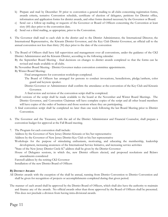- b) Prepare and mail by December 30 prior to convention a general mailing to all clubs concerning registration forms, awards criteria, tentative Convention schedule, certificate of election of delegates, petitions for District office, information and application forms for district awards, and other forms deemed necessary by the Governor or Board.
- c) Send out a follow-up mailing or requests of the Governor or Board of Officers concerning the Convention at least sixty (60) days prior to the convention date.
- d) Send out a third mailing, as appropriate, prior to the Convention.
- 4. The Governor shall mail to each club in the district and to the District Administrator, the International Director, the International Representative, the Kiwanis District Governor, and the Key Club District Governor, an official call to the annual convention not less than thirty (30) days prior to the date of the convention
- 5. The Board of Officers shall have full supervision and management over all conventions, under the guidance of the CKI District Administrator and the Kiwanis District, according to the following calendar:
	- By the September Board Meeting final decisions on changes to district awards completed so that the forms can be revised and made available to all clubs.
	- By November Board Meeting District Governor makes convention committee appointments.
	- By Winter Board Meeting:
		- Final arrangements for convention workshops completed.
		- The Board of Officers has arranged for persons to conduct invocations, benedictions, pledge/anthem, color guard and keynote speaker.
		- District Governor or Administrator shall confirm the attendance at the convention of the Key Club and Kiwanis Governor.
		- A final review and revision of the convention script shall be completed.
	- Draft versions of the script shall be made available to the board at the November and Winter Board Meetings. The District Governor, and Convention Chairman will have complete copies of the script and all other board members will have copies of the order of business and those sessions where they are participating.
	- A final convention script shall be completed no later than one week following the last Board Meeting prior to District Convention.
- 6. The Governor and the Treasurer, with the aid of the District Administrator and Financial Counselor, shall prepare a convention budget for approval at the Fall Board meeting.
- 7. The Program for each convention shall include:
	- Address by the Governor of New Jersey District Kiwanis or his/her representative
	- Address by the Governor of New Jersey District Key Club or his/her representative
	- Workshops for the purpose of stimulating enthusiasm, motivating, and educating the membership, leadership development, increasing awareness of the International Service Initiative, and increasing service activities
	- "State of the New Jersey District Circle K" address shall be given by the District Governor
	- House of Delegates sessions, in which the, new District officers elected, and proposed resolutions and Bylaws amendments considered

Farewell address by the retiring CKI Governor

Installation of the new District Board of Officers

# **B) DISTRICT AWARDS**

- All District awards with the exception of the shall be annual, running from District Convention to District Convention and shall be given for recognition of projects or accomplishments completed during that given period.
- The manner of each award shall be approved by the District Board of Officers, which shall also have the authority to maintain and finance any of the awards. No official awards other than those approved by the Board of Officers shall be presented. This does not preclude a division from having intra-divisional awards.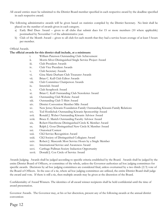- All award entries must be submitted to the District Board member specified in each respective award by the deadline specified in each respective award.
- The following administrative awards will be given based on statistics compiled by the District Secretary. No limit shall be placed on the number of awards given in each category.
	- a) Early Bird Dues Award given to all clubs that submit dues for 15 or more members (10 where applicable) postmarked by November 1 of the administrative year.
	- b) Club of the Month Award given to all club for each month that they had a service hours average of at least 5 hours per member.

# Official Awards.

#### **The official awards for this district shall include, at a minimum:**

- i. William Paterson Outstanding Club Achievement
- ii. Morris Silver Distinguished Single Service Project Award
- iii. Club President Awards
- iv. Club Vice President Awards
- v. Club Secretary Awards
- vi. Gina Marie Durham Club Treasurer Awards
- vii. Brian C. Kull Club Editor Awards
- viii. Club Committee Chairperson Awards
- ix. Interclub Award
- x. Club Scrapbook Award
- xi. Brian C. Kull Outstanding Club Newsletter Award
- xii. Outstanding Club Website Award
- xiii. Outstanding Club T-Shirt Award
- xiv. District Convention Member Mile Award
- xv. New Jersey Kiwanis Foundation Family Outstanding Kiwanis Family Relations
- xvi. Ted Hordichuk Outstanding Kiwanis Sponsorship Award
- xvii. Ronald J. Weber Outstanding Kiwanis Advisor Award
- xviii. Bruce E. Marich Outstanding Faculty Advisor Award
- xix. Robert Hawthrone Distinguished Circle K Member Award
- xx. Ralph J. Gour Distinguished New Circle K Member Award
- xxi. Oratorical Contest
- xxii. CKI Service Recognition Award
- xxiii. CKI Society of Distinguished Collegians Award
- xxiv. Robert J. Mascenik Most Service Hours by a Single Member
- xxv. International Service and Awareness Award
- xxvi. Carthage Pullman Society Induction Opportunity
- xxvii. Donald J. Cox Circle of Service Award

Awards Judging. Awards shall be judged according to specific criteria established by the Board. Awards shall be judged by the entire District Board of Officers, or committee of the whole, unless the Governor authorizes ad hoc judging committees for specific awards. Decisions by ad hoc judging committees are considered final, unless overturned by a two thirds (2/3) vote of the Board of Officers. In the case of a tie, where ad hoc judging committees are utilized, the entire District Board shall judge the award and vote. If there is still a tie, then multiple awards may be given at the discretion of the Board.

Confidentiality of Award Winners. The identities of all award winner recipients shall be held confidential until the time of award presentation.

Governor Awards. The Governor may, at his or her discretion, present any of the following awards at the annual district convention:

Page 12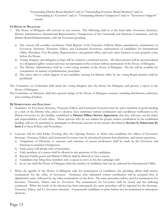"Outstanding District Board Member" and/or "Outstanding Executive Board Members" and/or "Outstanding Lt. Governor" and/or "Outstanding District Chairperson" and/or "Governor's Support" awards.

# **C) HOUSE OF DELEGATES**

- 1. The House of Delegates will convene in one session. The following shall sit at the head table: Governor, Secretary, District Administrator, International Representative, Chairpersons of the Credentials and Elections Committees, and the District Board Parliamentarian, with the Governor presiding.
	- a) The session will consider resolutions, Final Reports of the Executive Officers, Bylaw amendments, nominations of Governor, Secretary, Treasurer, Editor, and Lieutenant Governors, endorsement of candidates for International Office (President, Vice-President, Representative, and general office) and such other business as may properly come before the House.
	- b) Voting delegates and delegates-at-large will be seated in a restricted section. All others present will be accommodated in a designated gallery section and may not participate in the sessions without permission of the House of Delegates.
	- c) The District Administrator shall be a non-voting member of the House of Delegates. He/she will be available for consultation on matters of parliamentary procedure.
	- d) The active and/or verbal support of any candidate running for District office by any voting Board member shall be prohibited.
- The Committee on Credentials shall admit the voting delegates into the House the Delegates and present a report in the House of Delegates.
- The Committee on Elections shall have general charge of the House of Delegates sessions, including distribution, collection, and counting of ballots.

#### **D) NOMINATIONS AND ELECTIONS**

- 1. Nominees for Governor, Secretary, Treasurer, Editor, and Lieutenant Governor must be active members in good standing in a club of the District who, prior to election, have submitted written certification and enrollment verification to the District Governor by the deadline established in **District Officer Service Agreement**, that they will carry out the duties and responsibilities of such office. Those persons who do not submit the proper written certification by the established deadline will not be permitted to participate in divisional caucuses in the manner described in **Section G, Subsection D, Item 2** of these Policies and Procedures.
- 2. Caucuses will be held Friday Evening after the Opening Session, at which time candidates for offices of Governor, Secretary, Treasurer, Editor, and Lieutenant Governor may be introduced, present their platforms, and answer questions.
	- a) Assignment of Divisions to caucuses and selection of caucus moderators shall be made by the Governor and Elections Committee Chairperson.
	- b) Each caucus will decide rules of procedure.
	- c) Only members of a caucus shall be allowed to ask questions of the candidates.
	- d) Kiwanis-Family guests and District Officers shall be allowed to visit a caucus.
	- e) Candidates may bring three members into a caucus to serve as his/her campaign staff.
	- f) In no way shall the House of Delegates limit the number of candidates that can be endorsed for International Office.
- 3. When the agenda of the House of Delegates calls for nominations of candidates, the presiding officer shall receive nominations for the office of Governor. Nominees who submitted written certification will be accepted first, in alphabetical order, followed by any other nominations on the floor. The same procedure will be used for nominations for Secretary, Treasurer, Editor, and Lt. Governor. The nominations for Governor shall be closed and the balloting conducted. When the result of the election has been announced, the same procedure will be repeated for the Secretary, Treasurer, Editor, and Lt. Governor elections. Unsuccessful candidates in prior ballots may be nominated in subsequent elections.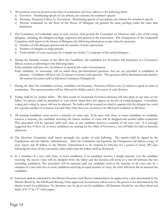- 4. All nominees must be present at the time of nomination and must adhere to the following limits:
	- a) Governor Nominating speech of one minute, two minutes for nominee's speech
	- b) Secretary, Treasurer, Editor, Lt. Governors Nominating speech of one minute, one minute for nominee's speech.
	- c) Persons nominated on the floor of the House of Delegates are granted the same privilege under the same time limitations
- 5. The Committee on Credentials, prior to each session, shall provide the Committee on Elections with a list of the voting delegates, including the delegates-at-large, registered and present at the convention. The Chairperson of the Credentials Committee shall report to the House of Delegates the following information as may often be necessary:
	- d) Number of club delegates present and the number of clubs represented
	- e) Number of delegates-at-large present.
	- f) Total number of votes necessary for a simple two-thirds  $\binom{2}{3}$  majority of the seated delegates.
- 6. During the Saturday session of the Meet the Candidates, the candidates for Governor will participate in a Governor's Debate session, conforming to the following rules:

Each candidate will have two (2) minutes to speak in the order of nomination.

Each candidate, in succession, will be asked three pre-determined questions that are not provided to candidates in advance. Candidates will have one (1) minute to answer each question. The question will be determined and asked by the current Governor and/or Elections Committee Chairperson.

- 7. During the Meet the Candidates session, candidates for Secretary, Treasurer will have one (1) minute to speak in order of nomination. The same procedure will be followed for Editor and Lt. Governor of each division.
- 8. Voting shall be by written ballot. The first round of Lieutenant Governor elections will take place at one time on the ballot. No person shall be permitted to vote whose name does not appear on the list of voting delegates. Cumulative voting and voting by proxy will not be allowed. No ballot will be counted on which it appears that the delegate has voted for a greater number of nominees for said office than there are vacancies to be filled and candidates to fill them.
- 9. All winning candidates must receive a majority of votes cast. If in races with three or more candidates no candidate receives a majority, the candidate receiving the lowest number of votes will be dropped and another ballot conducted. This procedure will be repeated until such time as one candidate receives a majority of all votes cast. It is strongly suggested that if three (3) or more candidates are running for the office of Governor, a run-off ballot be held on Saturday afternoon.
- 10. The Elections Committee shall report promptly the results of each balloting. The reports shall be signed by the Chairperson and the District Administrator. After the Committee has reported, the Chairperson will deliver a copy of each report and all ballots to the District Administrator to be retained by him/her for a period of ninety (90) days following the close of the convention, after which time the ballots shall be destroyed.
- 11. In a situation of a race with three or more candidates, if no candidate receives a simple majority vote the candidate receiving the lowest votes will be dropped from the ballot and the election will move to a run-off between the two remaining candidates. The procedure will be repeated until one candidate receives the majority of all votes cast. In a situation of a race with two or more candidates receiving an equal number of votes, the chair will break the tie between the candidates.
- 12. Literature shall be submitted to the District Governor and District Administrator for approval by a date determined by the District Board by the Fall Board Meeting. Once approved, the literature will be sent to the person to be determined by the district board for publication. No literature may be given out by candidates. All literature should be one sheet (front and back) of  $8\frac{1}{2}$ " by 11" white paper.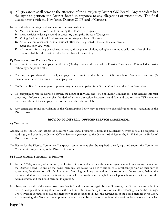- 13. All grievances shall come to the attention of the New Jersey District CKI Board. Any candidate has the right to petition the District Board in response to any allegations of misconduct. The final decision rests with the New Jersey District CKI Board of Officers.
- 14. All individuals seeking Endorsement for International Office:
	- **A.** May be nominated from the floor during the House of Delegates.
	- **B.** Must participate during a round of caucusing during the House of Delegates
	- **C.** Voting for International Endorsement must take place by a ballot vote.
	- **D.** An official endorsement for international office may be granted if the candidate receives a super-majority  $(2/3)$  vote.
	- **E.** All motions for voting by acclimation, voting through a resolution, voting by unanimous ballot and other similar motions shall be called out of order by the chair of the meeting.

# **E) CAMPAIGNING FOR DISTRICT OFFICE**

- 1. Any candidate may not campaign until thirty (30) days prior to the start of the District Convention. This includes district technology and phone calls.
- 2. The only people allowed to actively campaign for a candidate shall be current CKI members. No more than three (3) members can serve on a candidate's campaign staff.
- 3. No District Board member past or present may actively campaign for a District Candidate other than themselves.
- 4. No campaigning will be allowed between the hours of 1:00 a.m. and 7:00 a.m. during Convention. This includes informal caucusing. Informal caucuses shall be defined as any discussion between a candidate and two or more CKI members except members of the campaign staff or the candidate's home club.
- 5. Any candidates found in violation of this Campaigning Policy may be subject to disqualification upon suggestion of the District Board.

# **SECTION H: DISTRICT OFFICER SERVICE AGREEMENT**

#### **A) CANDIDATES**

- Candidates for the District offices of Governor, Secretary, Treasurer, Editor, and Lieutenant Governor shall be required to read, sign, and submit the District Officer Service Agreement, to the District Administrator by 11:59 PM on the Friday of District Convention.
- Candidates for the District Committee Chairperson appointments shall be required to read, sign, and submit the Committee Chair Service Agreement, to the District Governor

#### **B) BOARD MEMBER SUSPENSION & REMOVAL**

- 1. By the 20<sup>th</sup> day of every other month, the District Governor shall review the service agreements of each voting member of the District Board. If any of the board members are found to be in violation of a significant portion of their service agreement, the Governor will submit a letter of warning outlining the sections in violation and the reasoning behind the findings. Within five days of notification, there will be a coaching meeting held via telephone between the Governor, the Administrator, and the board member in question.
- In subsequent months if the same board member is found in violation again by the Governor, the Governor must submit a letter of complaint outlining all sections either still in violation or newly in violation and the reasoning behind the findings. The Governor is required to call an emergency board meeting to discuss the suspension of the board member in violation. At the meeting, the Governor must present independent unbiased reports outlining the sections being violated and what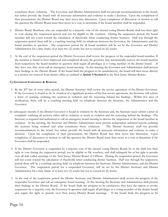constitutes those violations. The Governor and District Administrator shall not provide recommendations to the board, but rather provide the board with all necessary information and evidence to make a decision. Upon the completion of their presentation, the District Board may then move into discussion. Upon completion of discussion or motion to call the question the District Board must then move to a vote to determine if the board member shall be suspended.

- 2. District Board Members, who are suspended by a majority vote of the elected voting District Board, shall lose their right to vote during the suspension period and not be eligible to file vouchers. During the suspension period, the board member will not count toward the calculation of thresholds when conducting district business. Half way through the suspension period there will be a coaching meeting held via telephone between the Governor, the Administrator, and the board member in question. The suspension period for all board members will be set by the Governor and District Administrator for a time frame of at least two (2) weeks but not to exceed six (6) weeks.
- 3. At the end of the suspension period the District Governor shall review the progress of the suspended board member. If the member is found to have improved and completed all task, the governor may automatically remove the board member from suspension; the board member in question shall regain all privileges as a voting member of the district board. . If they have not, they must call an emergency board meeting. At this meeting the Governor and Administrator shall present their findings to the District Board. If the board finds the progress to be unsatisfactory, the board will then move directly to a motion for removal from district office as outlined in **Article 5 Section 6** in the New Jersey District Bylaws.

# **C) GOVERNOR SUSPENSION & REMOVAL**

- 1. By the 20<sup>th</sup> day of every other month, the District Secretary shall review the service agreement of the District Governor. If the Governor is found to be in violation of a significant portion of his/her service agreement, the Secretary will submit a letter of warning outlining the sections in violation and the reasoning behind the findings. Within five days of notification, there will be a coaching meeting held via telephone between the Secretary, the Administrator and the Governor.
- In subsequent months if the District Governor is found in violation by the Secretary and, the Secretary must submit a letter of complaint outlining all sections either still in violation or newly in violation and the reasoning behind the findings. The Secretary is required and authorized to call an emergency board meeting to discuss the suspension of the board member in violation. At the meeting, the Secretary and District Administrator must present independent unbiased reports outlining the sections being violated and what constitutes those violations. The District Secretary shall not provide recommendations to the board, but rather provide the board with all necessary information and evidence to make a decision. Upon the completion of their presentation, the District Board may then move into discussion. Upon completion of discussion or motion to call the question the District Board must then move to a vote to determine if the Governor shall be suspended.
- 2. If the District Governor is suspended by a majority vote of the elected voting District Board, he or she shall lose their right to vote during the suspension period, not be eligible to file vouchers, and shall relinquish his or her right to preside over all duly called meetings of the New Jersey District Board of Officers. During the suspension period, the Governor will not count toward the calculation of thresholds when conducting district business. Half way through the suspension period there will be a coaching meeting held via telephone between the Secretary, District Administrator, and the District Governor. The suspension period for a suspended Governor, will be set by the District Secretary and District Administrator for a time frame of at least two (2) weeks but not to exceed six (6) weeks.
- 3. At the end of the suspension period the District Secretary and District Administrator shall review the progress of the suspended Governor and call an emergency board meeting. At this meeting the Secretary and Administrator shall present their findings to the District Board. If the board finds the progress to be satisfactory, they have the option to revoke suspension by a majority vote; the Governor in question shall regain all privileges as a voting member of the district board and regain the right to preside over New Jersey District Board meetings. If the board finds the progress to be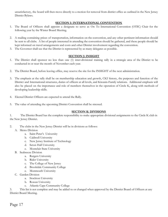unsatisfactory, the board will then move directly to a motion for removal from district office as outlined in the New Jersey District Bylaws.

# **SECTION I: INTERNATIONAL CONVENTION**

- 1. The Board of Officers shall appoint a designate to serve as On To International Convention (OTIC) Chair for the following year by the Winter Board Meeting.
- 2. A mailing containing prices of transportation, information on the convention, and any other pertinent information should be sent to all clubs. A list of people interested in attending the convention should be gathered, and these people should be kept informed on travel arrangements and costs and other District involvement regarding the convention.
- 3. The Governor shall see that the District is represented by as many delegates as possible.

# **SECTION J: INSIGHT**

- 1. The District shall sponsor no less than one (1) inter-divisional training rally in a strategic area of the District to be conducted in or near the month of November each year.
- 2. The District Board, before leaving office, may reserve the site for the INSIGHT of the next administration.
- 3. The emphasis at the rally shall be on membership education and growth, CKI history, the purposes and function of the District and International structures, duties of officers at all levels, and Kiwanis-Family relations. Additional emphasis will also be placed on the importance and role of members themselves in the operation of Circle K, along with methods of developing leadership skills.
- 4. Elected District Officers are expected to attend the Rally.
- 5. The value of attending the upcoming District Convention shall be stressed.

# **SECTION K: DIVISIONS**

1. The District Board has the complete responsibility to make appropriate divisional assignments to the Circle K club in the New Jersey District.

- 2. The clubs in the New Jersey District will be in divisions as follows:
	- A. Metro Division
		- a. Saint Peter's University
		- b. Caldwell University
		- c. New Jersey Institute of Technology
		- d. Seton Hall University
		- e. Montclair State University
	- B. Seabreeze Division
		- a. Rutgers University
		- b. Rider University
		- c. The College of New Jersey
		- d. Brookdale Community College
		- e. Monmouth University
	- C. Garden Division
		- a. Stockton University
		- b. Rowan University
		- c. Atlantic Cape Community College

3. This list is not complete and may be added to or changed when approved by the District Board of Officers at any District Board Meeting.

Page 17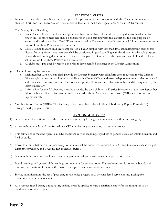# **SECTION L: CLUBS**

- 1. Bylaws: Each member Circle K club shall adopt and keep current bylaws, consistent with the Circle K International Standard Form for Club Bylaws. Such bylaws shall be filed with the Laws, Regulations, & Awards Chairperson.
- 2. Club Status/Good Standing:
	- a. Circle K clubs that are on 4-year campuses and have more than 1000 students; paying dues to this district for fifteen (15) or more members shall be considered in good standing with this district for the sole purpose of awards and holding district office If Dues are not paid by December 1, the Governor will follow the rules as set in Section H of these Policies and Procedures.
	- b. Circle K clubs that are on 2-year campuses or a 4-year campus with less than 1000 students; paying dues to this district for ten (10) or more members shall be considered in good standing with this district for the sole purpose of awards and holding district office If Dues are not paid by December 1, the Governor will follow the rules as set in Section H of these Policies and Procedures.
	- c. All clubs must pay dues by March 1 in order to have certified delegates at the District Convention.
- 3. District Directory Information
	- a. Each member Circle K club shall provide the District Secretary with all information requested for the District Directory, including but not limited to: all Executive Board Officer addresses, telephone numbers, electronic mail addresses, club meeting times and locations and sponsor Kiwanis Club information, by the dates requested by the District Secretary.
	- b. Information for the fall directory must be provided by each club to the District Secretary no later than September 5th of each year. Such information can be included with the Monthly Report From (MRF) which is due on September 5th.
- 4. Monthly Report Forms (MRFs): The Secretary of each member club shall file a club Monthly Report Form (MRF) through the digital yearly form.

# **SECTION M: SERVICE**

- 1) Service entails the betterment of the community or generally helping someone/a cause without receiving pay.
- 2) A service hour entails work performed by a CKI member in good standing to a service project.
- 3) This service hour must be open to all CKI members in good standing, regardless of gender, sexual orientation, major, and field of study.
- 4) Travel to events that have a purpose solely for service shall be considered service hours. (Travel to events such as Insight, District Convention, and CKIx **do not** count as service).
- 5) A service hour does not entail time spent at unpaid internships or any courses completed for credit.
- 6) Board meetings and general club meetings do not count for service hours. If a service project is done at a board/club meeting, the duration of the time the project takes place can be counted as service.
- 7) Service administration (the act of preparing for a service project) shall be considered service hours. Tabling for recruitment does count as service.
- 8) All proceeds raised during a fundraising activity must be applied toward a charitable entity for the fundraiser to be considered a service project.